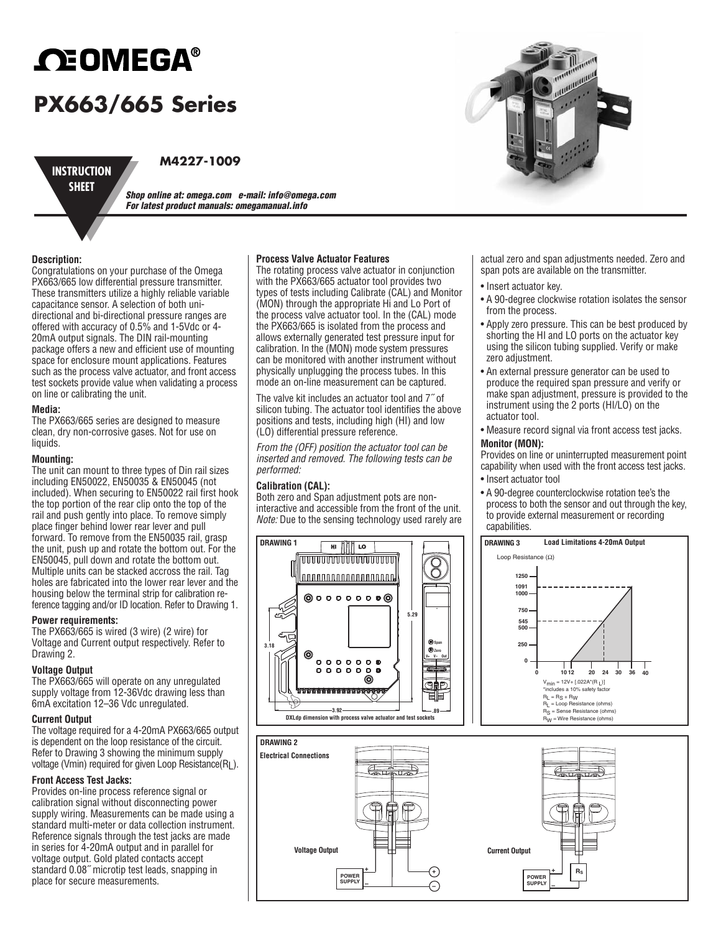

## **PX663/665 Series**

**INSTRUCTION SHEET**

### **M4227-1009**

*Shop online at: omega.com e-mail: info@omega.com For latest product manuals: omegamanual.info*

#### **Description:**

Congratulations on your purchase of the Omega PX663/665 low differential pressure transmitter. These transmitters utilize a highly reliable variable capacitance sensor. A selection of both unidirectional and bi-directional pressure ranges are offered with accuracy of 0.5% and 1-5Vdc or 4- 20mA output signals. The DIN rail-mounting package offers a new and efficient use of mounting space for enclosure mount applications. Features such as the process valve actuator, and front access test sockets provide value when validating a process on line or calibrating the unit.

#### **Media:**

The PX663/665 series are designed to measure clean, dry non-corrosive gases. Not for use on liquids.

#### **Mounting:**

The unit can mount to three types of Din rail sizes including EN50022, EN50035 & EN50045 (not included). When securing to EN50022 rail first hook the top portion of the rear clip onto the top of the rail and push gently into place. To remove simply place finger behind lower rear lever and pull forward. To remove from the EN50035 rail, grasp the unit, push up and rotate the bottom out. For the EN50045, pull down and rotate the bottom out. Multiple units can be stacked accross the rail. Tag holes are fabricated into the lower rear lever and the housing below the terminal strip for calibration reference tagging and/or ID location. Refer to Drawing 1.

#### **Power requirements:**

The PX663/665 is wired (3 wire) (2 wire) for Voltage and Current output respectively. Refer to Drawing 2.

#### **Voltage Output**

The PX663/665 will operate on any unregulated supply voltage from 12-36Vdc drawing less than 6mA excitation 12–36 Vdc unregulated.

#### **Current Output**

The voltage required for a 4-20mA PX663/665 output is dependent on the loop resistance of the circuit. Refer to Drawing 3 showing the minimum supply voltage (Vmin) required for given Loop Resistance(RL).

#### **Front Access Test Jacks:**

Provides on-line process reference signal or calibration signal without disconnecting power supply wiring. Measurements can be made using a standard multi-meter or data collection instrument. Reference signals through the test jacks are made in series for 4-20mA output and in parallel for voltage output. Gold plated contacts accept standard 0.08˝ microtip test leads, snapping in place for secure measurements.

#### **Process Valve Actuator Features**

The rotating process valve actuator in conjunction with the PX663/665 actuator tool provides two types of tests including Calibrate (CAL) and Monitor (MON) through the appropriate Hi and Lo Port of the process valve actuator tool. In the (CAL) mode the PX663/665 is isolated from the process and allows externally generated test pressure input for calibration. In the (MON) mode system pressures can be monitored with another instrument without physically unplugging the process tubes. In this mode an on-line measurement can be captured.

The valve kit includes an actuator tool and 7˝ of silicon tubing. The actuator tool identifies the above positions and tests, including high (HI) and low (LO) differential pressure reference.

*From the (OFF) position the actuator tool can be inserted and removed. The following tests can be performed:*

#### **Calibration (CAL):**

Both zero and Span adjustment pots are noninteractive and accessible from the front of the unit. *Note:* Due to the sensing technology used rarely are



actual zero and span adjustments needed. Zero and span pots are available on the transmitter.

- Insert actuator key.
- A 90-degree clockwise rotation isolates the sensor from the process.
- Apply zero pressure. This can be best produced by shorting the HI and LO ports on the actuator key using the silicon tubing supplied. Verify or make zero adjustment.
- An external pressure generator can be used to produce the required span pressure and verify or make span adjustment, pressure is provided to the instrument using the 2 ports (HI/LO) on the actuator tool.
- Measure record signal via front access test jacks. **Monitor (MON):**

#### Provides on line or uninterrupted measurement point capability when used with the front access test jacks.

- Insert actuator tool
- A 90-degree counterclockwise rotation tee's the process to both the sensor and out through the key, to provide external measurement or recording capabilities.